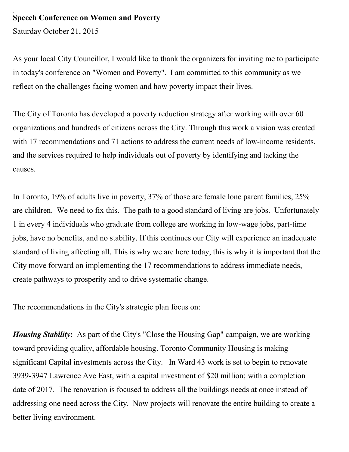## **Speech Conference on Women and Poverty**

Saturday October 21, 2015

As your local City Councillor, I would like to thank the organizers for inviting me to participate in today's conference on "Women and Poverty". I am committed to this community as we reflect on the challenges facing women and how poverty impact their lives.

The City of Toronto has developed a poverty reduction strategy after working with over 60 organizations and hundreds of citizens across the City. Through this work a vision was created with 17 recommendations and 71 actions to address the current needs of low-income residents, and the services required to help individuals out of poverty by identifying and tacking the causes.

In Toronto, 19% of adults live in poverty, 37% of those are female lone parent families, 25% are children. We need to fix this. The path to a good standard of living are jobs. Unfortunately 1 in every 4 individuals who graduate from college are working in low-wage jobs, part-time jobs, have no benefits, and no stability. If this continues our City will experience an inadequate standard of living affecting all. This is why we are here today, this is why it is important that the City move forward on implementing the 17 recommendations to address immediate needs, create pathways to prosperity and to drive systematic change.

The recommendations in the City's strategic plan focus on:

*Housing Stability***:** As part of the City's "Close the Housing Gap" campaign, we are working toward providing quality, affordable housing. Toronto Community Housing is making significant Capital investments across the City. In Ward 43 work is set to begin to renovate 3939-3947 Lawrence Ave East, with a capital investment of \$20 million; with a completion date of 2017. The renovation is focused to address all the buildings needs at once instead of addressing one need across the City. Now projects will renovate the entire building to create a better living environment.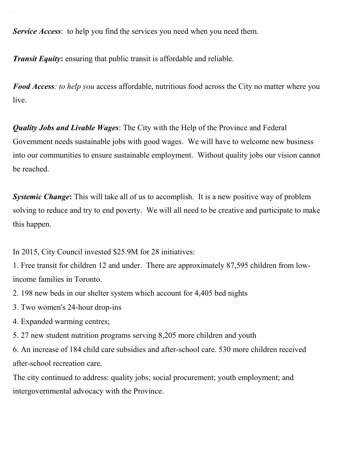*Service Access*: to help you find the services you need when you need them.

*Transit Equity:* ensuring that public transit is affordable and reliable.

*Food Access: to help you* access affordable, nutritious food across the City no matter where you live.

*Quality Jobs and Livable Wages*: The City with the Help of the Province and Federal Government needs sustainable jobs with good wages. We will have to welcome new business into our communities to ensure sustainable employment. Without quality jobs our vision cannot be reached.

*Systemic Change*: This will take all of us to accomplish. It is a new positive way of problem solving to reduce and try to end poverty. We will all need to be creative and participate to make this happen.

In 2015, City Council invested \$25.9M for 28 initiatives:

1. Free transit for children 12 and under. There are approximately 87,595 children from lowincome families in Toronto.

2. 198 new beds in our shelter system which account for 4,405 bed nights

- 3. Two women's 24-hour drop-ins
- 4. Expanded warming centres;
- 5. 27 new student nutrition programs serving 8,205 more children and youth

6. An increase of 184 child care subsidies and after-school care. 530 more children received after-school recreation care.

The city continued to address: quality jobs; social procurement; youth employment; and intergovernmental advocacy with the Province.